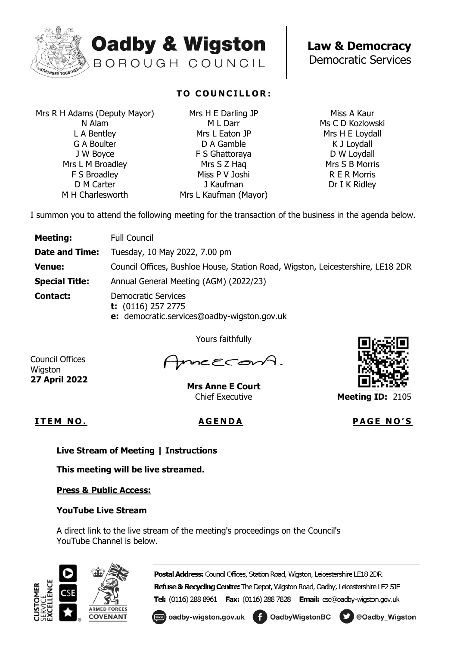

# **Oadby & Wigston** BOROUGH COUNCIL

**Law & Democracy** Democratic Services

Mrs R H Adams (Deputy Mayor) N Alam L A Bentley G A Boulter J W Boyce Mrs L M Broadley F S Broadley D M Carter M H Charlesworth

## **TO COUNCILLOR:**

Mrs H E Darling JP M L Darr Mrs L Eaton JP D A Gamble F S Ghattoraya Mrs S Z Haq Miss P V Joshi J Kaufman Mrs L Kaufman (Mayor)

Miss A Kaur Ms C D Kozlowski Mrs H E Loydall K J Loydall D W Loydall Mrs S B Morris R E R Morris Dr I K Ridley

I summon you to attend the following meeting for the transaction of the business in the agenda below.

| <b>Meeting:</b>       | <b>Full Council</b>                                                                               |
|-----------------------|---------------------------------------------------------------------------------------------------|
| <b>Date and Time:</b> | Tuesday, 10 May 2022, 7.00 pm                                                                     |
| <b>Venue:</b>         | Council Offices, Bushloe House, Station Road, Wigston, Leicestershire, LE18 2DR                   |
| <b>Special Title:</b> | Annual General Meeting (AGM) (2022/23)                                                            |
| <b>Contact:</b>       | <b>Democratic Services</b><br>t: $(0116)$ 257 2775<br>e: democratic.services@oadby-wigston.gov.uk |

Yours faithfully

Council Offices Wigston **27 April 2022**

mneecon

**Mrs Anne E Court** Chief Executive



**Meeting ID:** 2105

**I T E M N O . A G E N D A P A G E N O ' S**

**Live Stream of Meeting | Instructions**

**This meeting will be live streamed.**

**Press & Public Access:** 

### **YouTube Live Stream**

A direct link to the live stream of the meeting's proceedings on the Council's YouTube Channel is below.



Postal Address: Council Offices, Station Road, Wigston, Leicestershire LE18 2DR Refuse & Recycling Centre: The Depot, Wigston Road, Oadby, Leicestershire LE2 5JE

Tel: (0116) 288 8961 Fax: (0116) 288 7828 Email: csc@oadby-wigston.gov.uk

coadby-wigston.gov.uk foodbyWigstonBC DeOadby\_Wigston

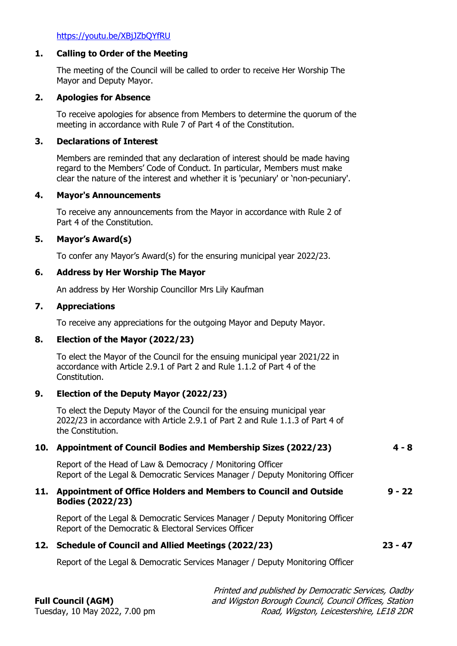<https://youtu.be/XBjJZbQYfRU>

#### **1. Calling to Order of the Meeting**

The meeting of the Council will be called to order to receive Her Worship The Mayor and Deputy Mayor.

#### **2. Apologies for Absence**

To receive apologies for absence from Members to determine the quorum of the meeting in accordance with Rule 7 of Part 4 of the Constitution.

#### **3. Declarations of Interest**

Members are reminded that any declaration of interest should be made having regard to the Members' Code of Conduct. In particular, Members must make clear the nature of the interest and whether it is 'pecuniary' or 'non-pecuniary'.

### **4. Mayor's Announcements**

To receive any announcements from the Mayor in accordance with Rule 2 of Part 4 of the Constitution.

#### **5. Mayor's Award(s)**

To confer any Mayor's Award(s) for the ensuring municipal year 2022/23.

#### **6. Address by Her Worship The Mayor**

An address by Her Worship Councillor Mrs Lily Kaufman

#### **7. Appreciations**

To receive any appreciations for the outgoing Mayor and Deputy Mayor.

### **8. Election of the Mayor (2022/23)**

To elect the Mayor of the Council for the ensuing municipal year 2021/22 in accordance with Article 2.9.1 of Part 2 and Rule 1.1.2 of Part 4 of the Constitution.

### **9. Election of the Deputy Mayor (2022/23)**

To elect the Deputy Mayor of the Council for the ensuing municipal year 2022/23 in accordance with Article 2.9.1 of Part 2 and Rule 1.1.3 of Part 4 of the Constitution.

### **10. Appointment of Council Bodies and Membership Sizes (2022/23) 4 - 8**

Report of the Head of Law & Democracy / Monitoring Officer Report of the Legal & Democratic Services Manager / Deputy Monitoring Officer

#### **11. Appointment of Office Holders and Members to Council and Outside Bodies (2022/23) 9 - 22**

Report of the Legal & Democratic Services Manager / Deputy Monitoring Officer Report of the Democratic & Electoral Services Officer

#### **12. Schedule of Council and Allied Meetings (2022/23) 23 - 47**

Report of the Legal & Democratic Services Manager / Deputy Monitoring Officer

## **Full Council (AGM)**

Printed and published by Democratic Services, Oadby and Wigston Borough Council, Council Offices, Station Road, Wigston, Leicestershire, LE18 2DR

Tuesday, 10 May 2022, 7.00 pm